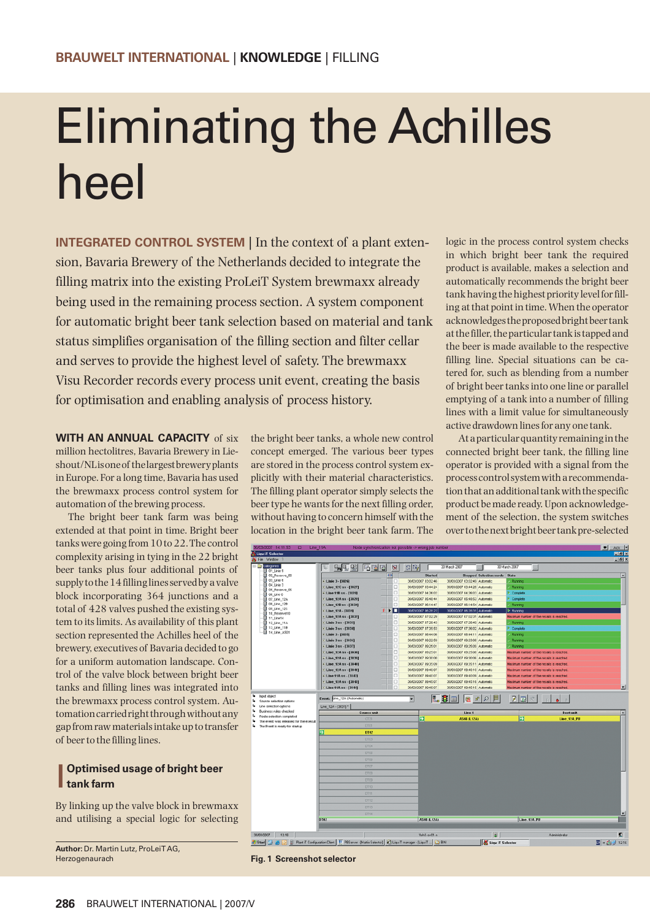## Eliminating the Achilles heel

**INTEGRATED CONTROL SYSTEM** In the context of a plant extension, Bavaria Brewery of the Netherlands decided to integrate the filling matrix into the existing ProLeiT System brewmaxx already being used in the remaining process section. A system component for automatic bright beer tank selection based on material and tank status simplifies organisation of the filling section and filter cellar and serves to provide the highest level of safety. The brewmaxx Visu Recorder records every process unit event, creating the basis for optimisation and enabling analysis of process history.

**WITH AN ANNUAL CAPACITY** of six million hectolitres, Bavaria Brewery in Lieshout/NL is one of the largest brewery plants in Europe. For a long time, Bavaria has used the brewmaxx process control system for automation of the brewing process.

The bright beer tank farm was being extended at that point in time. Bright beer tanks were going from 10 to 22. The control complexity arising in tying in the 22 bright beer tanks plus four additional points of supply to the 14 filling lines served by a valve block incorporating 364 junctions and a total of 428 valves pushed the existing system to its limits. As availability of this plant section represented the Achilles heel of the brewery, executives of Bavaria decided to go for a uniform automation landscape. Control of the valve block between bright beer tanks and filling lines was integrated into the brewmaxx process control system. Automation carried right through without any gap from raw materials intake up to transfer of beer to the filling lines.

## l **Optimised usage of bright beer tank farm**

By linking up the valve block in brewmaxx and utilising a special logic for selecting

**Author:** Dr. Martin Lutz, ProLeiT AG, Herzogenaurach

the bright beer tanks, a whole new control concept emerged. The various beer types are stored in the process control system explicitly with their material characteristics. The filling plant operator simply selects the beer type he wants for the next filling order, without having to concern himself with the location in the bright beer tank farm. The

logic in the process control system checks in which bright beer tank the required product is available, makes a selection and automatically recommends the bright beer tank having the highest priority level for filling at that point in time. When the operator acknowledges the proposed bright beer tank at the filler, the particular tank is tapped and the beer is made available to the respective filling line. Special situations can be catered for, such as blending from a number of bright beer tanks into one line or parallel emptying of a tank into a number of filling lines with a limit value for simultaneously active drawdown lines for any one tank.

At a particular quantity remaining in the connected bright beer tank, the filling line operator is provided with a signal from the process control system with a recommendation that an additional tank with the specific product be made ready. Upon acknowledgement of the selection, the system switches over to the next bright beer tank pre-selected



**Fig. 1 Screenshot selector**